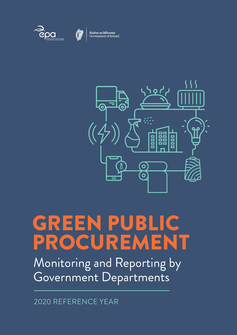



Rialtas na hÉireann<br>Government of Ireland



# GREEN PUBLIC PROCUREMENT

Monitoring and Reporting by Government Departments

2020 REFERENCE YEAR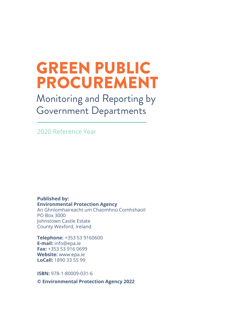## GREEN PUBLIC PROCUREMENT

Monitoring and Reporting by Government Departments

2020 Reference Year

**Published by: Environmental Protection Agency** An Ghníomhaireacht um Chaomhnú Comhshaoil PO Box 3000 Johnstown Castle Estate County Wexford, Ireland

**Telephone:** +353 53 9160600 **E-mail:** [info@epa.ie](mailto:info%40epa.ie?subject=) **Fax:** +353 53 916 0699 **Website:** [www.epa.ie](http://www.epa.ie) **LoCall:** 1890 33 55 99

**ISBN:** 978-1-80009-031-6

**© Environmental Protection Agency 2022**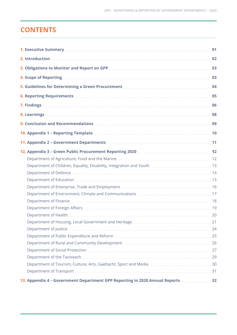## **CONTENTS**

| 01                                                                             |
|--------------------------------------------------------------------------------|
|                                                                                |
| 03                                                                             |
| 4. Scope of Reporting.<br>03                                                   |
| 04                                                                             |
|                                                                                |
| 06                                                                             |
| 08                                                                             |
|                                                                                |
|                                                                                |
|                                                                                |
|                                                                                |
|                                                                                |
|                                                                                |
|                                                                                |
|                                                                                |
|                                                                                |
|                                                                                |
|                                                                                |
|                                                                                |
|                                                                                |
|                                                                                |
| 24                                                                             |
|                                                                                |
|                                                                                |
|                                                                                |
|                                                                                |
|                                                                                |
|                                                                                |
| 13. Appendix 4 - Government Department GPP Reporting in 2020 Annual Reports 32 |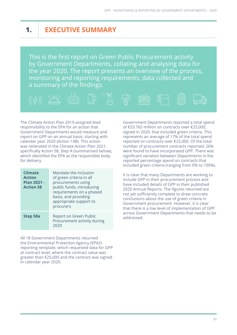## **1. EXECUTIVE SUMMARY**

This is the first report on Green Public Procurement activity by Government Departments, collating and analysing data for the year 2020. The report presents an overview of the process, monitoring and reporting requirements, data collected and a summary of the findings.



The Climate Action Plan 2019 assigned lead responsibility to the EPA for an action that Government Departments would measure and report on GPP on an annual basis, starting with calendar year 2020 (Action 148). This action was reiterated in the Climate Action Plan 2021, specifically Action 58, Step A (summarised below), which identified the EPA as the responsible body for delivery.

| <b>Climate</b><br><b>Action</b><br><b>Plan 2021 -</b><br><b>Action 58</b> | Mandate the inclusion<br>of green criteria in all<br>procurements using<br>public funds, introducing<br>requirements on a phased<br>basis, and providing<br>appropriate support to<br>procurers |
|---------------------------------------------------------------------------|-------------------------------------------------------------------------------------------------------------------------------------------------------------------------------------------------|
| Step 58a                                                                  | Report on Green Public<br>Procurement activity during<br>2020                                                                                                                                   |

All 18 Government Departments returned the Environmental Protection Agency (EPA)'s reporting template, which requested data for GPP at contract level, where the contract value was greater than €25,000 and the contract was signed in calendar year 2020.

Government Departments reported a total spend of €53.765 million on contracts over €25,000, signed in 2020, that included green criteria. This represents an average of 17% of the total spend reported on contracts over €25,000. Of the total number of procurement contracts reported, 26% were found to have incorporated GPP. There was significant variation between Departments in the reported percentage spend on contracts that included green criteria (ranging from 0% to 100%).

It is clear that many Departments are working to include GPP in their procurement process and have included details of GPP in their published 2020 Annual Reports. The figures returned are not yet sufficiently complete to draw concrete conclusions about the use of green criteria in Government procurement. However, it is clear that there is a low level of implementation of GPP across Government Departments that needs to be addressed.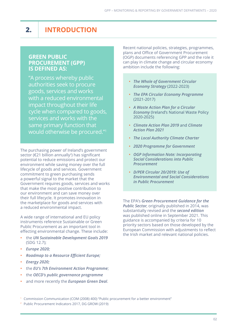## **2. INTRODUCTION**

#### **GREEN PUBLIC PROCUREMENT (GPP) IS DEFINED AS:**

"A process whereby public authorities seek to procure goods, services and works with a reduced environmental impact throughout their life cycle when compared to goods, services and works with the same primary function that would otherwise be procured."1

The purchasing power of Ireland's government sector (€21 billion annually<sup>2</sup>) has significant potential to reduce emissions and protect our environment while saving money over the full lifecycle of goods and services. Government commitment to green purchasing sends a powerful signal to the market that the Government requires goods, services and works that make the most positive contribution to our environment and can save money over their full lifecycle. It promotes innovation in the marketplace for goods and services with a reduced environmental impact.

A wide range of international and EU policy instruments reference Sustainable or Green Public Procurement as an important tool in effecting environmental change. These include:

- **•** the *[UN Sustainable Development Goals 2019](https://sdgs.un.org/goals)* (SDG 12.7);
- **•** *[Europe 2020;](https://ec.europa.eu/eu2020/pdf/COMPLET%20EN%20BARROSO%20%20%20007%20-%20Europe%202020%20-%20EN%20version.pdf)*
- **•** *[Roadmap to a Resource Efficient Europe](https://www.eea.europa.eu/policy-documents/com-2011-571-roadmap-to);*
- **•** *[Energy 2020;](https://ec.europa.eu/energy/sites/ener/files/documents/2011_energy2020_en_0.pdf)*
- **•** the *[EU's 7th Environment Action Programme](https://ec.europa.eu/environment/action-programme/)*;
- **•** the *[OECD's public governance programme](http://www.oecd.org/gov/public-procurement/green/)*
- **•** and more recently the *[European Green Deal](https://ec.europa.eu/info/strategy/priorities-2019-2024/european-green-deal_en)*.

Recent national policies, strategies, programmes, plans and Office of Government Procurement (OGP) documents referencing GPP and the role it can play in climate change and circular economy ambition include the following:

- **•** *[The Whole of Government Circular](https://www.gov.ie/en/publication/b542d-whole-of-government-circular-economy-strategy-2022-2023-living-more-using-less/)  [Economy Strategy](https://www.gov.ie/en/publication/b542d-whole-of-government-circular-economy-strategy-2022-2023-living-more-using-less/)* (2022-2023)
- **•** *[The EPA Circular Economy Programme](https://www.epa.ie/publications/circular-economy/resources/the-circular-economy-programme-2021-2027.php)* (2021-2017)
- **•** *[A Waste Action Plan for a Circular](https://www.gov.ie/en/publication/4221c-waste-action-plan-for-a-circular-economy/)  [Economy](https://www.gov.ie/en/publication/4221c-waste-action-plan-for-a-circular-economy/)* (Ireland's National Waste Policy 2020-2025)
- **•** *[Climate Action Plan 2019](https://www.gov.ie/en/publication/ccb2e0-the-climate-action-plan-2019/)* and *[Climate](https://www.gov.ie/en/publication/6223e-climate-action-plan-2021/)  [Action Plan 2021](https://www.gov.ie/en/publication/6223e-climate-action-plan-2021/)*
- **•** *[The Local Authority Climate Charter](https://www.gov.ie/en/publication/d914a-local-authority-climate-action-charter/)*
- **•** *[2020 Programme for Government](https://merrionstreet.ie/en/About/Programme-for-Government/)*
- **•** *[OGP Information Note: Incorporating](https://ogp.gov.ie/wp-content/uploads/DPER-Circular-20-2019.pdf)  [Social Considerations into Public](https://ogp.gov.ie/wp-content/uploads/DPER-Circular-20-2019.pdf)  [Procurement](https://ogp.gov.ie/wp-content/uploads/DPER-Circular-20-2019.pdf)*
- **•** *[D/PER Circular 20/2019: Use of](https://www.gov.ie/en/circular/circular-20-2019/)  [Environmental and Social Considerations](https://www.gov.ie/en/circular/circular-20-2019/)  [in Public Procurement](https://www.gov.ie/en/circular/circular-20-2019/)*

The EPA's *[Green Procurement Guidance for the](https://www.epa.ie/publications/circular-economy/resources/green-public-procurement-guidance.php )  [Public Sector](https://www.epa.ie/publications/circular-economy/resources/green-public-procurement-guidance.php )*, originally published in 2014, was substantially revised and the *[second edition](https://www.epa.ie/publications/circular-economy/resources/GPP-Guidance-for-the-Irish-Public-Sector.pdf)* was published online in September 2021. This guidance is accompanied by criteria for 10 priority sectors based on those developed by the European Commission with adjustments to reflect the Irish market and relevant national policies.

<sup>1</sup> Commission Communication (COM (2008) 400) "Public procurement for a better environment"

<sup>2</sup> Public Procurement Indicators 2017, DG GROW (2019)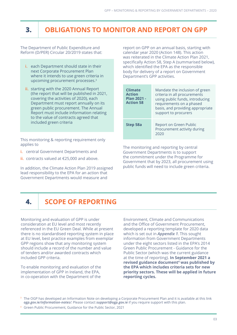## **3. OBLIGATIONS TO MONITOR AND REPORT ON GPP**

The Department of Public Expenditure and Reform (D/PER) Circular 20/2019 states that:

- **i.** each Department should state in their next Corporate Procurement Plan where it intends to use green criteria in upcoming procurement processes.3
- **ii.** starting with the 2020 Annual Report (the report that will be published in 2021, covering the activities of 2020), each Department must report annually on its green public procurement. The Annual Report must include information relating to the value of contracts agreed that included green criteria

This monitoring & reporting requirement only applies to

- **i.** central Government Departments and
- **ii.** contracts valued at €25,000 and above.

In addition, the Climate Action Plan 2019 assigned lead responsibility to the EPA for an action that Government Departments would measure and

report on GPP on an annual basis, starting with calendar year 2020 (Action 148). This action was reiterated in the Climate Action Plan 2021, specifically Action 58, Step A (summarised below), which identified the EPA as the responsible body for delivery of a report on Government Department's GPP activities.

| <b>Climate</b><br><b>Action</b><br><b>Plan 2021 -</b><br><b>Action 58</b> | Mandate the inclusion of green<br>criteria in all procurements<br>using public funds, introducing<br>requirements on a phased<br>basis, and providing appropriate<br>support to procurers |
|---------------------------------------------------------------------------|-------------------------------------------------------------------------------------------------------------------------------------------------------------------------------------------|
| Step 58a                                                                  | Report on Green Public<br>Procurement activity during<br>2020                                                                                                                             |

The monitoring and reporting by central Government Departments is to support the commitment under the Programme for Government that by 2023, all procurement using public funds will need to include green criteria.

## **4. SCOPE OF REPORTING**

Monitoring and evaluation of GPP is under consideration at EU level and most recently referenced in the EU Green Deal. While at present there is no standardised reporting system in place at EU level, best practice examples from exemplar GPP regions show that any monitoring system should include a record of the number and value of tenders and/or awarded contracts which included GPP criteria.

To enable monitoring and evaluation of the implementation of GPP in Ireland, the EPA, in co-operation with the Department of the

Environment, Climate and Communications and the Office of Government Procurement, developed a reporting template for 2020 data which is set out in *[Appendix 1](#page-12-0)*. This sought information from Government Departments under the eight sectors listed in the EPA's 2014 Green Public Procurement - Guidance for the Public Sector (which was the current guidance at the time of reporting). **In September 2021 a revised guidance document4 was published by the EPA which includes criteria sets for new priority sectors. These will be applied in future reporting cycles.**

<sup>4</sup> Green Public Procurement, Guidance for the Public Sector, 2021

The OGP has developed an Information Note on developing a Corporate Procurement Plan and it is available at this link *[ogp.gov.ie/information-notes/](https://www.gov.ie/en/collection/f14cd-information-notes/)*. Please contact *[support@ogp.gov.ie](mailto:support%40ogp.gov.ie?subject=)* if you require support with this plan.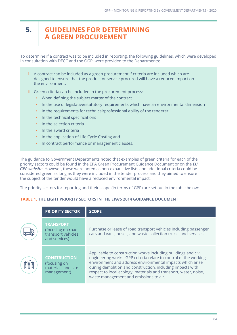#### **5.**

#### **GUIDELINES FOR DETERMINING A GREEN PROCUREMENT**

To determine if a contract was to be included in reporting, the following guidelines, which were developed in consultation with DECC and the OGP, were provided to the Departments:

- **i.** A contract can be included as a green procurement if criteria are included which are designed to ensure that the product or service procured will have a reduced impact on the environment.
- **ii.** Green criteria can be included in the procurement process:
	- **•** When defining the subject matter of the contract
	- **•** In the use of legislative/statutory requirements which have an environmental dimension
	- **•** In the requirements for technical/professional ability of the tenderer
	- **•** In the technical specifications
	- **•** In the selection criteria
	- **•** In the award criteria
	- **•** In the application of Life Cycle Costing and
	- **•** In contract performance or management clauses.

The guidance to Government Departments noted that examples of green criteria for each of the priority sectors could be found in the EPA Green Procurement Guidance Document or on the *[EU](https://ec.europa.eu/environment/gpp/index_en.htm)  [GPP website](https://ec.europa.eu/environment/gpp/index_en.htm)*. However, these were noted as non-exhaustive lists and additional criteria could be considered green as long as they were included in the tender process and they aimed to ensure the subject of the tender would have a reduced environmental impact.

The priority sectors for reporting and their scope (in terms of GPP) are set out in the table below:

#### **TABLE 1. THE EIGHT PRIORITY SECTORS IN THE EPA'S 2014 GUIDANCE DOCUMENT**

|   | <b>PRIORITY SECTOR</b>                                                       | <b>SCOPE</b>                                                                                                                                                                                                                                                                                                                                                                |
|---|------------------------------------------------------------------------------|-----------------------------------------------------------------------------------------------------------------------------------------------------------------------------------------------------------------------------------------------------------------------------------------------------------------------------------------------------------------------------|
|   | <b>TRANSPORT</b><br>(focusing on road<br>transport vehicles<br>and services) | Purchase or lease of road transport vehicles including passenger<br>cars and vans, buses, and waste collection trucks and services.                                                                                                                                                                                                                                         |
| 醩 | <b>CONSTRUCTION</b><br>(focusing on<br>materials and site<br>management)     | Applicable to construction works including buildings and civil<br>engineering works. GPP criteria relate to control of the working<br>environment and address environmental impacts which arise<br>during demolition and construction, including impacts with<br>respect to local ecology, materials and transport, water, noise,<br>waste management and emissions to air. |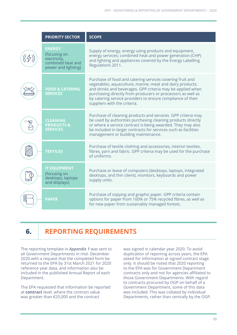| <b>PRIORITY SECTOR</b>                                                                    | <b>SCOPE</b>                                                                                                                                                                                                                                                                                                                                       |
|-------------------------------------------------------------------------------------------|----------------------------------------------------------------------------------------------------------------------------------------------------------------------------------------------------------------------------------------------------------------------------------------------------------------------------------------------------|
| <b>ENERGY</b><br>(focusing on<br>electricity,<br>combined heat and<br>power and lighting) | Supply of energy, energy using products and equipment,<br>energy services; combined heat and power generation (CHP)<br>and lighting and appliances covered by the Energy Labelling<br>Regulations 2011.                                                                                                                                            |
| <b>FOOD &amp; CATERING</b><br><b>SERVICES</b>                                             | Purchase of food and catering services covering fruit and<br>vegetables; aquaculture, marine, meat and dairy products;<br>and drinks and beverages. GPP criteria may be applied when<br>purchasing directly from producers or processors as well as<br>by catering service providers to ensure compliance of their<br>suppliers with the criteria. |
| <b>CLEANING</b><br><b>PRODUCTS&amp;</b><br><b>SERVICES</b>                                | Purchase of cleaning products and services. GPP criteria may<br>be used by authorities purchasing cleaning products directly<br>or where a service contract is being awarded. They may also<br>be included in larger contracts for services such as facilities<br>management or building maintenance.                                              |
| <b>TEXTILES</b>                                                                           | Purchase of textile clothing and accessories, interior textiles,<br>fibres, yarn and fabric. GPP criteria may be used for the purchase<br>of uniforms.                                                                                                                                                                                             |
| <b>IT EQUIPMENT</b><br>(focusing on<br>desktops, laptops<br>and displays)                 | Purchase or lease of computers (desktops, laptops, integrated<br>desktops, and thin client), monitors, keyboards and power<br>supply units.                                                                                                                                                                                                        |
| <b>PAPER</b>                                                                              | Purchase of copying and graphic paper. GPP criteria contain<br>options for paper from 100% or 75% recycled fibres, as well as<br>for new paper from sustainably managed forests.                                                                                                                                                                   |

## **6. REPORTING REQUIREMENTS**

The reporting template in *[Appendix 1](#page-12-0)* was sent to all Government Departments in mid- December 2020 with a request that the completed form be returned to the EPA by 31st March 2021 for 2020 reference year data, and information also be included in the published Annual Report of each Department.

The EPA requested that information be reported at **contract** level, where the contract value was greater than €25,000 and the contract

was signed in calendar year 2020. To avoid duplication of reporting across years, the EPA asked for information at signed contract stage only. It should be noted that 2020 reporting to the EPA was for Government Department contracts only and not for agencies affiliated to those Government Departments. With regard to contracts procured by OGP on behalf of a Government Department, some of this data was included. This was collated by individual Departments, rather than centrally by the OGP.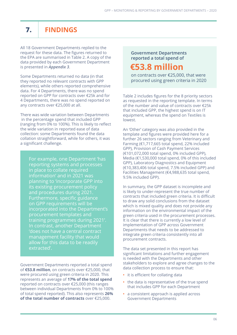## **7. FINDINGS**

All 18 Government Departments replied to the request for these data. The figures returned to the EPA are summarised in Table 2. A copy of the data provided by each Government Department is presented in *[Appendix 3](#page-14-0)*.

Some Departments returned no data (in that they reported no relevant contracts with GPP elements), while others reported comprehensive data. For 4 Departments, there was no spend reported on GPP for contracts over €25k and for 4 Departments, there was no spend reported on any contracts over €25,000 at all.

There was wide variation between Departments in the percentage spend that included GPP (ranging from 0% to 100%). This is likely to reflect the wide variation in reported ease of data collection: some Departments found the data collation straightforward, while for others, it was a significant challenge.

For example, one Department 'has reporting systems and processes in place to collate required information' and in 2021 was planning to 'incorporate GPP into its existing procurement policy and procedures during 2021. Furthermore, specific guidance on GPP requirements will be incorporated into the Department's procurement templates and training programmes during 2021'. In contrast, another Department 'does not have a central contract management facility that would allow for this data to be readily extracted'.

Government Departments reported a total spend of **€53.8 million**, on contracts over €25,000, that were procured using green criteria in 2020. This represents an average of **17% of the total spend** reported on contracts over €25,000 (this ranges between individual Departments from 0% to 100% of total spend reported). This also represents **26% of the total number of contracts** over €25,000.

#### **Government Departments reported a total spend of**

## **€53.8 million**

on contracts over €25,000, that were procured using green criteria in 2020

Table 2 includes figures for the 8 priority sectors as requested in the reporting template. In terms of the number and value of contracts over €25k that included GPP, the highest spend is on IT equipment, whereas the spend on Textiles is lowest.

An 'Other' category was also provided in the template and figures were provided here for a further 26 sectors ranging from Veterinary and Farming (€1,717,665 total spend, 22% included GPP), Provision of Cash Payment Services (€101,072,000 total spend, 0% included GPP), Media (€1,530,000 total spend, 0% of this included GPP), Laboratory Diagnostics and Equipment (€10,383,406 total spend, 7.5% included GPP) and Facilities Management (€4,988,635 total spend, 9.5% included GPP).

In summary, the GPP dataset is incomplete and is likely to under-represent the true number of contracts that included green criteria. It is difficult to draw any solid conclusions from the dataset which is mixed quality and does not provide any information on the environmental impact of the green criteria used in the procurement processes. It is clear that there is currently a low level of implementation of GPP across Government Departments that needs to be addressed to integrate green criteria consistently into all procurement contracts.

The data set presented in this report has significant limitations and further engagement is needed with the Departments and other stakeholders to explore and agree changes to the data collection process to ensure that:

- **•** it is efficient for collating data
- **•** the data is representative of the true spend that includes GPP for each Department
- **•** a consistent approach is applied across Government Departments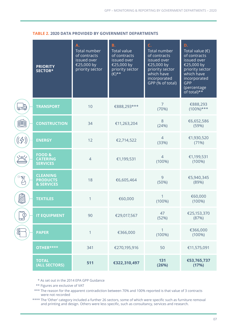#### **TABLE 2. 2020 DATA PROVIDED BY GOVERNMENT DEPARTMENTS**

|                       | <b>PRIORITY</b><br>SECTOR*                              | <b>A.</b><br>Total number<br>of contracts<br>issued over<br>€25,000 by<br>priority sector | <b>B.</b><br><b>Total value</b><br>of contracts<br>issued over<br>€25,000 by<br>priority sector<br>$(E)$ ** | C.<br>Total number<br>of contracts<br>issued over<br>€25,000 by<br>priority sector<br>which have<br>incorporated<br>GPP (% of total) | D.<br>Total value $(\epsilon)$<br>of contracts<br>issued over<br>€25,000 by<br>priority sector<br>which have<br>incorporated<br>GPP<br>(percentage<br>of total) $**$ |
|-----------------------|---------------------------------------------------------|-------------------------------------------------------------------------------------------|-------------------------------------------------------------------------------------------------------------|--------------------------------------------------------------------------------------------------------------------------------------|----------------------------------------------------------------------------------------------------------------------------------------------------------------------|
| <del>©∃</del>         | <b>TRANSPORT</b>                                        | 10                                                                                        | €888,293***                                                                                                 | $\overline{7}$<br>(70%)                                                                                                              | €888,293<br>$(100\%)$ ***                                                                                                                                            |
| 齫                     | <b>CONSTRUCTION</b>                                     | 34                                                                                        | €11,263,204                                                                                                 | 8<br>(24%)                                                                                                                           | €6,652,586<br>(59%)                                                                                                                                                  |
| $(\langle 4\rangle )$ | <b>ENERGY</b>                                           | 12                                                                                        | €2,714,522                                                                                                  | $\overline{4}$<br>(33%)                                                                                                              | €1,930,520<br>(71%)                                                                                                                                                  |
| بہود                  | <b>FOOD &amp;</b><br><b>CATERING</b><br><b>SERVICES</b> | $\overline{4}$                                                                            | €1,199,531                                                                                                  | $\overline{4}$<br>$(100\%)$                                                                                                          | €1,199,531<br>$(100\%)$                                                                                                                                              |
|                       | <b>CLEANING</b><br><b>PRODUCTS</b><br>& SERVICES        | 18                                                                                        | €6,605,464                                                                                                  | 9<br>(50%)                                                                                                                           | €5,940,345<br>(89%)                                                                                                                                                  |
| E.<br>Ma              | <b>TEXTILES</b>                                         | 1                                                                                         | €60,000                                                                                                     | $(100\%)$                                                                                                                            | €60,000<br>$(100\%)$                                                                                                                                                 |
| $\varphi$<br>رعا      | <b>IT EQUIPMENT</b>                                     | 90                                                                                        | €29,017,567                                                                                                 | 47<br>(52%)                                                                                                                          | €25,153,370<br>(87%)                                                                                                                                                 |
| 8                     | <b>PAPER</b>                                            | 1                                                                                         | €366,000                                                                                                    | 1<br>$(100\%)$                                                                                                                       | €366,000<br>$(100\%)$                                                                                                                                                |
|                       | OTHER****                                               | 341                                                                                       | €270,195,916                                                                                                | 50                                                                                                                                   | €11,575,091                                                                                                                                                          |
|                       | <b>TOTAL</b><br>(ALL SECTORS)                           | 511                                                                                       | €322,310,497                                                                                                | 131<br>(26%)                                                                                                                         | €53,765,737<br>(17%)                                                                                                                                                 |

\* As set out in the 2014 EPA GPP Guidance

\*\* Figures are exclusive of VAT

 \*\*\* The reason for the apparent contradiction between 70% and 100% reported is that value of 3 contracts were not recorded

\*\*\*\* The 'Other' category included a further 26 sectors, some of which were specific such as furniture removal and printing and design. Others were less specific, such as consultancy, services and research.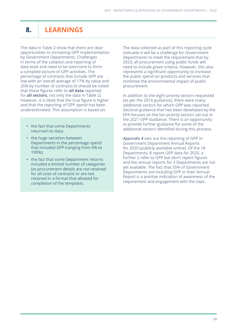## **8. LEARNINGS**

The data in Table 2 show that there are clear opportunities to increasing GPP implementation by Government Departments. Challenges in terms of the collation and reporting of data exist and need to be overcome to form a complete picture of GPP activities. The percentage of contracts that include GPP are low with an overall average of 17% by value and 26% by number of contracts (it should be noted that these figures refer to **all data** reported for **all sectors**, not only the data in Table 2). However, it is likely that the true figure is higher and that the reporting of GPP spend has been underestimated. This assumption is based on:

- **•** the fact that some Departments returned no data;
- **•** the huge variation between Departments in the percentage spend that included GPP (ranging from 0% to 100%);
- **•** the fact that some Department returns included a limited number of categories (as procurement details are not retained for all sizes of contracts or are not retained in a format that allowed for completion of the template).

The data collected as part of this reporting cycle indicates it will be a challenge for Government Departments to meet the requirement that by 2023, all procurement using public funds will need to include green criteria. However, this also represents a significant opportunity to increase the public spend on products and services that minimise the environmental impact of public procurement.

In addition to the eight priority sectors requested (as per the 2014 guidance), there were many additional sectors for which GPP was reported. Sectoral guidance that has been developed by the EPA focuses on the ten priority sectors set out in the 2021 GPP Guidance. There is an opportunity to provide further guidance for some of the additional sectors identified during this process.

*[Appendix 4](#page-34-0)* sets out the reporting of GPP in Government Department Annual Reports for 2020 (publicly available online). Of the 18 Departments, 8 report GPP data for 2020, a further 2 refer to GPP but don't report figures and the annual reports for 3 Departments are not yet available. The fact that 55% of Government Departments are including GPP in their Annual Report is a positive indication of awareness of the requirement and engagement with the topic.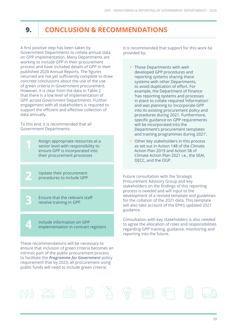## **9. CONCLUSION & RECOMMENDATIONS**

A first positive step has been taken by Government Departments to collate annual data on GPP implementation. Many Departments are working to include GPP in their procurement process and have included details of GPP in their published 2020 Annual Reports. The figures returned are not yet sufficiently complete to draw concrete conclusions about the use of the use of green criteria in Government procurement. However, it is clear from the data in Table 2 that there is a low level of implementation of GPP across Government Departments. Further engagement with all stakeholders is required to support the efficient and effective collection of data annually.

To this end, it is recommended that all Government Departments:

> Assign appropriate resources at a senior level with responsibility to ensure GPP is incorporated into their procurement processes

Update their procurement procedures to include GPP

**2**

**3**

**4**

Ensure that the relevant staff receive training in GPP

Include information on GPP implementation in contract registers

These recommendations will be necessary to ensure that inclusion of green criteria becomes an intrinsic part of the public procurement process to facilitate the *[Programme for Government](https://www.gov.ie/en/publication/7e05d-programme-for-government-our-shared-future/)* policy requirement that by 2023, all procurement using public funds will need to include green criteria.

It is recommended that support for this work be provided by:

- **•** Those Departments with welldeveloped GPP procedures and reporting systems sharing these systems with other Departments, to avoid duplication of effort. For example, the Department of Finance 'has reporting systems and processes in place to collate required 'information' and was planning to 'incorporate GPP into its existing procurement policy and procedures during 2021. Furthermore, specific guidance on GPP requirements will be incorporated into the Department's procurement templates and training programmes during 2021'.
- **•** Other key stakeholders in this process as set out in Action 148 of the Climate Action Plan 2019 and Action 58 of Climate Action Plan 2021 i.e., the SEAI, DECC, and the OGP.

Future consultation with the Strategic Procurement Advisory Group and key stakeholders on the findings of this reporting process is needed and will input to the development of a revised template and guidelines for the collation of the 2021 data. This template will also take account of the EPA's updated 2021 guidance.

Consultation with key stakeholders is also needed to agree the allocation of roles and responsibilities regarding GPP training, guidance, monitoring and reporting into the future.

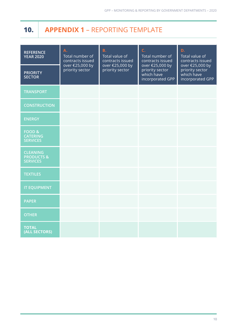## <span id="page-12-0"></span>**10. APPENDIX 1** – REPORTING TEMPLATE

| <b>REFERENCE</b><br><b>YEAR 2020</b>                        | <b>A.</b><br>Total number of<br>contracts issued<br>over €25,000 by<br>priority sector | <b>B.</b><br>Total value of<br>contracts issued<br>over €25,000 by<br>priority sector | C.<br>Total number of<br>contracts issued<br>over €25,000 by<br>priority sector<br>which have<br>incorporated GPP | D.<br>Total value of<br>contracts issued<br>over €25,000 by<br>priority sector<br>which have<br>incorporated GPP |
|-------------------------------------------------------------|----------------------------------------------------------------------------------------|---------------------------------------------------------------------------------------|-------------------------------------------------------------------------------------------------------------------|------------------------------------------------------------------------------------------------------------------|
| <b>PRIORITY</b><br><b>SECTOR</b>                            |                                                                                        |                                                                                       |                                                                                                                   |                                                                                                                  |
| <b>TRANSPORT</b>                                            |                                                                                        |                                                                                       |                                                                                                                   |                                                                                                                  |
| <b>CONSTRUCTION</b>                                         |                                                                                        |                                                                                       |                                                                                                                   |                                                                                                                  |
| <b>ENERGY</b>                                               |                                                                                        |                                                                                       |                                                                                                                   |                                                                                                                  |
| <b>FOOD &amp;</b><br><b>CATERING</b><br><b>SERVICES</b>     |                                                                                        |                                                                                       |                                                                                                                   |                                                                                                                  |
| <b>CLEANING</b><br><b>PRODUCTS &amp;</b><br><b>SERVICES</b> |                                                                                        |                                                                                       |                                                                                                                   |                                                                                                                  |
| <b>TEXTILES</b>                                             |                                                                                        |                                                                                       |                                                                                                                   |                                                                                                                  |
| <b>IT EQUIPMENT</b>                                         |                                                                                        |                                                                                       |                                                                                                                   |                                                                                                                  |
| <b>PAPER</b>                                                |                                                                                        |                                                                                       |                                                                                                                   |                                                                                                                  |
| <b>OTHER</b>                                                |                                                                                        |                                                                                       |                                                                                                                   |                                                                                                                  |
| <b>TOTAL</b><br>(ALL SECTORS)                               |                                                                                        |                                                                                       |                                                                                                                   |                                                                                                                  |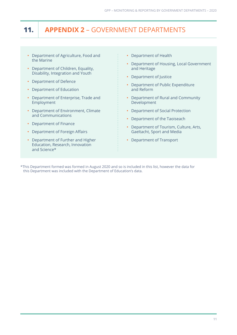## **11. APPENDIX 2** – GOVERNMENT DEPARTMENTS

- **•** Department of Agriculture, Food and the Marine
- **•** Department of Children, Equality, Disability, Integration and Youth
- **•** Department of Defence
- **•** Department of Education
- **•** Department of Enterprise, Trade and Employment
- **•** Department of Environment, Climate and Communications
- **•** Department of Finance
- **•** Department of Foreign Affairs
- **•** Department of Further and Higher Education, Research, Innovation and Science\*
- **•** Department of Health
- **•** Department of Housing, Local Government and Heritage
- **•** Department of Justice
- **•** Department of Public Expenditure and Reform
- **•** Department of Rural and Community Development
- **•** Department of Social Protection
- **•** Department of the Taoiseach
- **•** Department of Tourism, Culture, Arts, Gaeltacht, Sport and Media
- **•** Department of Transport

\*This Department formed was formed in August 2020 and so is included in this list, however the data for this Department was included with the Department of Education's data.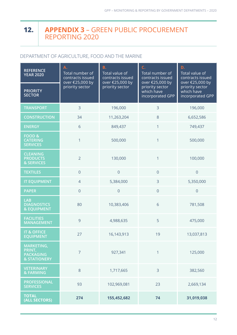#### <span id="page-14-0"></span>**APPENDIX 3** – GREEN PUBLIC PROCUREMENT REPORTING 2020 **12.**

#### DEPARTMENT OF AGRICULTURE, FOOD AND THE MARINE

| <b>REFERENCE</b><br><b>YEAR 2020</b>                                | Α.<br>Total number of<br>contracts issued<br>over €25,000 by<br>priority sector | <b>B.</b><br>Total value of<br>contracts issued<br>over €25,000 by | C.<br>Total number of<br>contracts issued<br>over €25,000 by | D.<br>Total value of<br>contracts issued<br>over €25,000 by |
|---------------------------------------------------------------------|---------------------------------------------------------------------------------|--------------------------------------------------------------------|--------------------------------------------------------------|-------------------------------------------------------------|
| <b>PRIORITY</b><br><b>SECTOR</b>                                    |                                                                                 | priority sector                                                    | priority sector<br>which have<br>incorporated GPP            | priority sector<br>which have<br>incorporated GPP           |
| <b>TRANSPORT</b>                                                    | 3                                                                               | 196,000                                                            | 3                                                            | 196,000                                                     |
| <b>CONSTRUCTION</b>                                                 | 34                                                                              | 11,263,204                                                         | 8                                                            | 6,652,586                                                   |
| <b>ENERGY</b>                                                       | 6                                                                               | 849,437                                                            | $\mathbf{1}$                                                 | 749,437                                                     |
| <b>FOOD &amp;</b><br><b>CATERING</b><br><b>SERVICES</b>             | $\mathbf{1}$                                                                    | 500,000                                                            | 1                                                            | 500,000                                                     |
| <b>CLEANING</b><br><b>PRODUCTS</b><br>& SERVICES                    | $\overline{2}$                                                                  | 130,000                                                            | 1                                                            | 100,000                                                     |
| <b>TEXTILES</b>                                                     | $\overline{0}$                                                                  | $\overline{0}$                                                     | $\overline{0}$                                               | $\overline{0}$                                              |
| <b>IT EQUIPMENT</b>                                                 | $\overline{4}$                                                                  | 5,384,000                                                          | 3                                                            | 5,350,000                                                   |
| <b>PAPER</b>                                                        | $\overline{0}$                                                                  | $\overline{0}$                                                     | $\overline{0}$                                               | $\overline{0}$                                              |
| <b>LAB</b><br><b>DIAGNOSTICS</b><br><b>&amp; EQUIPMENT</b>          | 80                                                                              | 10,383,406                                                         | 6                                                            | 781,508                                                     |
| <b>FACILITIES</b><br><b>MANAGEMENT</b>                              | 9                                                                               | 4,988,635                                                          | 5                                                            | 475,000                                                     |
| <b>IT &amp; OFFICE</b><br><b>EQUIPMENT</b>                          | 27                                                                              | 16,143,913                                                         | 19                                                           | 13,037,813                                                  |
| MARKETING,<br>PRINT,<br><b>PACKAGING</b><br><b>&amp; STATIONERY</b> | $\overline{7}$                                                                  | 927,341                                                            | 1                                                            | 125,000                                                     |
| <b>VETERINARY</b><br>& FARMING                                      | 8                                                                               | 1,717,665                                                          | $\overline{3}$                                               | 382,560                                                     |
| <b>PROFESSIONAL</b><br><b>SERVICES</b>                              | 93                                                                              | 102,969,081                                                        | 23                                                           | 2,669,134                                                   |
| <b>TOTAL</b><br>(ALL SECTORS)                                       | 274                                                                             | 155,452,682                                                        | 74                                                           | 31,019,038                                                  |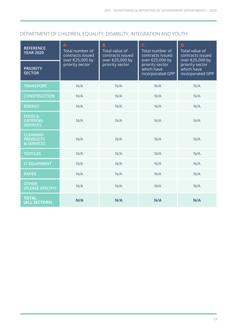#### DEPARTMENT OF CHILDREN, EQUALITY, DISABILITY, INTEGRATION AND YOUTH

| <b>REFERENCE</b><br><b>YEAR 2020</b>                    | Α.<br>Total number of<br>contracts issued<br>over €25,000 by<br>priority sector | <b>B.</b><br>Total value of<br>contracts issued<br>over €25,000 by<br>priority sector | C.<br>Total number of<br>contracts issued<br>over €25,000 by<br>priority sector<br>which have<br>incorporated GPP | D.<br>Total value of<br>contracts issued<br>over €25,000 by<br>priority sector<br>which have<br>incorporated GPP |
|---------------------------------------------------------|---------------------------------------------------------------------------------|---------------------------------------------------------------------------------------|-------------------------------------------------------------------------------------------------------------------|------------------------------------------------------------------------------------------------------------------|
| <b>PRIORITY</b><br><b>SECTOR</b>                        |                                                                                 |                                                                                       |                                                                                                                   |                                                                                                                  |
| <b>TRANSPORT</b>                                        | N/A                                                                             | N/A                                                                                   | N/A                                                                                                               | N/A                                                                                                              |
| <b>CONSTRUCTION</b>                                     | N/A                                                                             | N/A                                                                                   | N/A                                                                                                               | N/A                                                                                                              |
| <b>ENERGY</b>                                           | N/A                                                                             | N/A                                                                                   | N/A                                                                                                               | N/A                                                                                                              |
| <b>FOOD &amp;</b><br><b>CATERING</b><br><b>SERVICES</b> | N/A                                                                             | N/A                                                                                   | N/A                                                                                                               | N/A                                                                                                              |
| <b>CLEANING</b><br><b>PRODUCTS</b><br>& SERVICES        | N/A                                                                             | N/A                                                                                   | N/A                                                                                                               | N/A                                                                                                              |
| <b>TEXTILES</b>                                         | N/A                                                                             | N/A                                                                                   | N/A                                                                                                               | N/A                                                                                                              |
| <b>IT EQUIPMENT</b>                                     | N/A                                                                             | N/A                                                                                   | N/A                                                                                                               | N/A                                                                                                              |
| <b>PAPER</b>                                            | N/A                                                                             | N/A                                                                                   | N/A                                                                                                               | N/A                                                                                                              |
| <b>OTHER</b><br>(PLEASE SPECIFY)                        | N/A                                                                             | N/A                                                                                   | N/A                                                                                                               | N/A                                                                                                              |
| <b>TOTAL</b><br>(ALL SECTORS)                           | N/A                                                                             | N/A                                                                                   | N/A                                                                                                               | N/A                                                                                                              |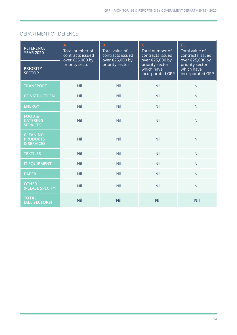#### DEPARTMENT OF DEFENCE

| <b>REFERENCE</b><br><b>YEAR 2020</b>                    | Α.<br>Total number of<br>contracts issued<br>over €25,000 by<br>priority sector | <b>B.</b><br>Total value of<br>contracts issued<br>over €25,000 by<br>priority sector | C.<br>Total number of<br>contracts issued<br>over €25,000 by<br>priority sector<br>which have<br>incorporated GPP | D.<br>Total value of<br>contracts issued<br>over €25,000 by<br>priority sector<br>which have<br>incorporated GPP |
|---------------------------------------------------------|---------------------------------------------------------------------------------|---------------------------------------------------------------------------------------|-------------------------------------------------------------------------------------------------------------------|------------------------------------------------------------------------------------------------------------------|
| <b>PRIORITY</b><br><b>SECTOR</b>                        |                                                                                 |                                                                                       |                                                                                                                   |                                                                                                                  |
| <b>TRANSPORT</b>                                        | Nil                                                                             | Nil                                                                                   | Nil                                                                                                               | Nil                                                                                                              |
| <b>CONSTRUCTION</b>                                     | Nil                                                                             | Nil                                                                                   | Nil                                                                                                               | <b>Nil</b>                                                                                                       |
| <b>ENERGY</b>                                           | Nil                                                                             | Nil                                                                                   | Nil                                                                                                               | Nil                                                                                                              |
| <b>FOOD &amp;</b><br><b>CATERING</b><br><b>SERVICES</b> | Nil                                                                             | Nil                                                                                   | Nil                                                                                                               | Nil                                                                                                              |
| <b>CLEANING</b><br><b>PRODUCTS</b><br>& SERVICES        | Nil                                                                             | Nil                                                                                   | Nil                                                                                                               | Nil                                                                                                              |
| <b>TEXTILES</b>                                         | Nil                                                                             | Nil                                                                                   | Nil                                                                                                               | Nil                                                                                                              |
| <b>IT EQUIPMENT</b>                                     | Nil                                                                             | Nil                                                                                   | Nil                                                                                                               | <b>Nil</b>                                                                                                       |
| <b>PAPER</b>                                            | Nil                                                                             | Nil                                                                                   | Nil                                                                                                               | Nil                                                                                                              |
| <b>OTHER</b><br>(PLEASE SPECIFY)                        | Nil                                                                             | Nil                                                                                   | Nil                                                                                                               | Nil                                                                                                              |
| <b>TOTAL</b><br>(ALL SECTORS)                           | <b>Nil</b>                                                                      | <b>Nil</b>                                                                            | <b>Nil</b>                                                                                                        | <b>Nil</b>                                                                                                       |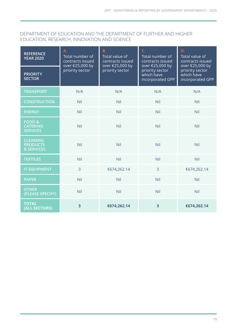#### DEPARTMENT OF EDUCATION AND THE DEPARTMENT OF FURTHER AND HIGHER EDUCATION, RESEARCH, INNOVATION AND SCIENCE

| <b>REFERENCE</b><br><b>YEAR 2020</b>                    | Α.<br>Total number of<br>contracts issued<br>over €25,000 by<br>priority sector | <b>B.</b><br>Total value of<br>contracts issued<br>over €25,000 by<br>priority sector | C.<br>Total number of<br>contracts issued<br>over €25,000 by<br>priority sector<br>which have<br>incorporated GPP | D.<br>Total value of<br>contracts issued<br>over €25,000 by<br>priority sector<br>which have<br>incorporated GPP |
|---------------------------------------------------------|---------------------------------------------------------------------------------|---------------------------------------------------------------------------------------|-------------------------------------------------------------------------------------------------------------------|------------------------------------------------------------------------------------------------------------------|
| <b>PRIORITY</b><br><b>SECTOR</b>                        |                                                                                 |                                                                                       |                                                                                                                   |                                                                                                                  |
| <b>TRANSPORT</b>                                        | N/A                                                                             | N/A                                                                                   | N/A                                                                                                               | N/A                                                                                                              |
| <b>CONSTRUCTION</b>                                     | Nil                                                                             | Nil                                                                                   | Nil                                                                                                               | Nil                                                                                                              |
| <b>ENERGY</b>                                           | Nil                                                                             | Nil                                                                                   | Nil                                                                                                               | <b>Nil</b>                                                                                                       |
| <b>FOOD &amp;</b><br><b>CATERING</b><br><b>SERVICES</b> | Nil                                                                             | Nil                                                                                   | Nil                                                                                                               | Nil                                                                                                              |
| <b>CLEANING</b><br><b>PRODUCTS</b><br>& SERVICES        | Nil                                                                             | Nil                                                                                   | Nil                                                                                                               | Nil                                                                                                              |
| <b>TEXTILES</b>                                         | Nil                                                                             | Nil                                                                                   | Nil                                                                                                               | Nil                                                                                                              |
| <b>IT EQUIPMENT</b>                                     | $\overline{3}$                                                                  | €674,262.14                                                                           | $\overline{3}$                                                                                                    | €674,262.14                                                                                                      |
| <b>PAPER</b>                                            | Nil                                                                             | Nil                                                                                   | Nil                                                                                                               | Nil                                                                                                              |
| <b>OTHER</b><br>(PLEASE SPECIFY)                        | Nil                                                                             | Nil                                                                                   | Nil                                                                                                               | Nil                                                                                                              |
| <b>TOTAL</b><br>(ALL SECTORS)                           | 3                                                                               | €674,262.14                                                                           | 3                                                                                                                 | €674,262.14                                                                                                      |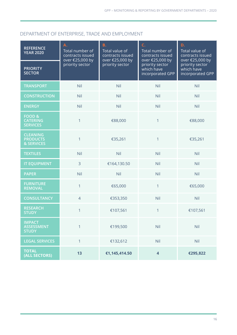#### DEPARTMENT OF ENTERPRISE, TRADE AND EMPLOYMENT

| <b>REFERENCE</b><br><b>YEAR 2020</b>                    | Α.<br>Total number of<br>contracts issued<br>over €25,000 by | <b>B.</b><br>Total value of<br>contracts issued<br>over €25,000 by | C.<br>Total number of<br>contracts issued<br>over €25,000 by | D.<br>Total value of<br>contracts issued<br>over €25,000 by |
|---------------------------------------------------------|--------------------------------------------------------------|--------------------------------------------------------------------|--------------------------------------------------------------|-------------------------------------------------------------|
| <b>PRIORITY</b><br><b>SECTOR</b>                        | priority sector                                              | priority sector                                                    | priority sector<br>which have<br>incorporated GPP            | priority sector<br>which have<br>incorporated GPP           |
| <b>TRANSPORT</b>                                        | Nil                                                          | Nil                                                                | Nil                                                          | Nil                                                         |
| <b>CONSTRUCTION</b>                                     | <b>Nil</b>                                                   | Nil                                                                | Nil                                                          | Nil                                                         |
| <b>ENERGY</b>                                           | Nil                                                          | Nil                                                                | Nil                                                          | Nil                                                         |
| <b>FOOD &amp;</b><br><b>CATERING</b><br><b>SERVICES</b> | $\mathbf{1}$                                                 | €88,000                                                            | 1                                                            | €88,000                                                     |
| <b>CLEANING</b><br><b>PRODUCTS</b><br>& SERVICES        | 1                                                            | €35,261                                                            | $\mathbf{1}$                                                 | €35,261                                                     |
| <b>TEXTILES</b>                                         | <b>Nil</b>                                                   | Nil                                                                | Nil                                                          | Nil                                                         |
| <b>IT EQUIPMENT</b>                                     | 3                                                            | €164,130.50                                                        | Nil                                                          | Nil                                                         |
| <b>PAPER</b>                                            | Nil                                                          | Nil                                                                | Nil                                                          | Nil                                                         |
| <b>FURNITURE</b><br><b>REMOVAL</b>                      | 1                                                            | €65,000                                                            | $\mathbf{1}$                                                 | €65,000                                                     |
| <b>CONSULTANCY</b>                                      | $\overline{4}$                                               | €353,350                                                           | Nil                                                          | Nil                                                         |
| <b>RESEARCH</b><br><b>STUDY</b>                         | $\mathbf{1}$                                                 | €107,561                                                           | 1                                                            | €107,561                                                    |
| <b>IMPACT</b><br><b>ASSESSMENT</b><br><b>STUDY</b>      | 1                                                            | €199,500                                                           | Nil                                                          | Nil                                                         |
| <b>LEGAL SERVICES</b>                                   | $\mathbf{1}$                                                 | €132,612                                                           | Nil                                                          | Nil                                                         |
| <b>TOTAL</b><br>(ALL SECTORS)                           | 13                                                           | €1,145,414.50                                                      | $\overline{4}$                                               | €295,822                                                    |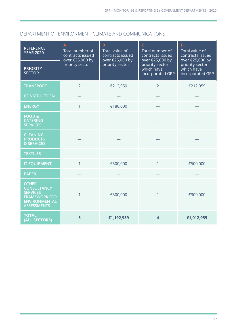#### DEPARTMENT OF ENVIRONMENT, CLIMATE AND COMMUNICATIONS

| <b>REFERENCE</b><br><b>YEAR 2020</b>                                                                                        | A.<br>Total number of<br>contracts issued<br>over €25,000 by<br>priority sector | <b>B.</b><br>Total value of<br>contracts issued<br>over €25,000 by<br>priority sector | C.<br>Total number of<br>contracts issued<br>over €25,000 by | D.<br>Total value of<br>contracts issued<br>over €25,000 by<br>priority sector<br>which have<br>incorporated GPP |
|-----------------------------------------------------------------------------------------------------------------------------|---------------------------------------------------------------------------------|---------------------------------------------------------------------------------------|--------------------------------------------------------------|------------------------------------------------------------------------------------------------------------------|
| <b>PRIORITY</b><br><b>SECTOR</b>                                                                                            |                                                                                 |                                                                                       | priority sector<br>which have<br>incorporated GPP            |                                                                                                                  |
| <b>TRANSPORT</b>                                                                                                            | $\overline{2}$                                                                  | €212,959                                                                              | $\overline{2}$                                               | €212,959                                                                                                         |
| <b>CONSTRUCTION</b>                                                                                                         |                                                                                 |                                                                                       |                                                              |                                                                                                                  |
| <b>ENERGY</b>                                                                                                               | $\mathbf{1}$                                                                    | €180,000                                                                              |                                                              |                                                                                                                  |
| FOOD&<br><b>CATERING</b><br><b>SERVICES</b>                                                                                 |                                                                                 |                                                                                       |                                                              |                                                                                                                  |
| <b>CLEANING</b><br><b>PRODUCTS</b><br>& SERVICES                                                                            |                                                                                 |                                                                                       |                                                              |                                                                                                                  |
| <b>TEXTILES</b>                                                                                                             |                                                                                 |                                                                                       |                                                              |                                                                                                                  |
| <b>IT EQUIPMENT</b>                                                                                                         | $\mathbf{1}$                                                                    | €500,000                                                                              | $\mathbf{1}$                                                 | €500,000                                                                                                         |
| <b>PAPER</b>                                                                                                                |                                                                                 |                                                                                       |                                                              |                                                                                                                  |
| <b>OTHER</b><br><b>CONSULTANCY</b><br><b>SERVICES</b><br><b>FRAMEWORK FOR</b><br><b>ENVIRONMENTAL</b><br><b>ASSESSMENTS</b> | 1                                                                               | €300,000                                                                              | 1                                                            | €300,000                                                                                                         |
| <b>TOTAL</b><br>(ALL SECTORS)                                                                                               | 5                                                                               | €1,192,959                                                                            | $\overline{\mathbf{4}}$                                      | €1,012,959                                                                                                       |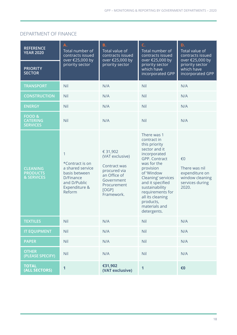#### DEPARTMENT OF FINANCE

| <b>REFERENCE</b><br><b>YEAR 2020</b>                    | A.<br>Total number of<br>contracts issued<br>over €25,000 by<br>priority sector                                   | <b>B.</b><br>Total value of<br>contracts issued<br>over €25,000 by                                                              | C.<br>Total number of<br>contracts issued<br>over €25,000 by                                                                                                                                                                                                                             | D.<br>Total value of<br>contracts issued<br>over €25,000 by                          |
|---------------------------------------------------------|-------------------------------------------------------------------------------------------------------------------|---------------------------------------------------------------------------------------------------------------------------------|------------------------------------------------------------------------------------------------------------------------------------------------------------------------------------------------------------------------------------------------------------------------------------------|--------------------------------------------------------------------------------------|
| <b>PRIORITY</b><br><b>SECTOR</b>                        |                                                                                                                   | priority sector                                                                                                                 | priority sector<br>which have<br>incorporated GPP                                                                                                                                                                                                                                        | priority sector<br>which have<br>incorporated GPP                                    |
| <b>TRANSPORT</b>                                        | Nil                                                                                                               | N/A                                                                                                                             | Nil                                                                                                                                                                                                                                                                                      | N/A                                                                                  |
| <b>CONSTRUCTION</b>                                     | Nil                                                                                                               | N/A                                                                                                                             | Nil                                                                                                                                                                                                                                                                                      | N/A                                                                                  |
| <b>ENERGY</b>                                           | Nil                                                                                                               | N/A                                                                                                                             | Nil                                                                                                                                                                                                                                                                                      | N/A                                                                                  |
| <b>FOOD &amp;</b><br><b>CATERING</b><br><b>SERVICES</b> | Nil                                                                                                               | N/A                                                                                                                             | Nil                                                                                                                                                                                                                                                                                      | N/A                                                                                  |
| <b>CLEANING</b><br><b>PRODUCTS</b><br>& SERVICES        | 1<br>*Contract is on<br>a shared service<br>basis between<br>D/Finance<br>and D/Public<br>Expenditure &<br>Reform | € 31,902<br>(VAT exclusive)<br>Contract was<br>procured via<br>an Office of<br>Government<br>Procurement<br>[OGP]<br>Framework. | There was 1<br>contract in<br>this priority<br>sector and it<br>incorporated<br>GPP. Contract<br>was for the<br>provision<br>of 'Window<br>Cleaning' services<br>and it specified<br>sustainability<br>requirements for<br>all its cleaning<br>products,<br>materials and<br>detergents. | €0<br>There was nil<br>expenditure on<br>window cleaning<br>services during<br>2020. |
| <b>TEXTILES</b>                                         | <b>Nil</b>                                                                                                        | N/A                                                                                                                             | <b>Nil</b>                                                                                                                                                                                                                                                                               | N/A                                                                                  |
| <b>IT EQUIPMENT</b>                                     | <b>Nil</b>                                                                                                        | N/A                                                                                                                             | <b>Nil</b>                                                                                                                                                                                                                                                                               | N/A                                                                                  |
| <b>PAPER</b>                                            | <b>Nil</b>                                                                                                        | N/A                                                                                                                             | <b>Nil</b>                                                                                                                                                                                                                                                                               | N/A                                                                                  |
| <b>OTHER</b><br>(PLEASE SPECIFY)                        | <b>Nil</b>                                                                                                        | N/A                                                                                                                             | Nil                                                                                                                                                                                                                                                                                      | N/A                                                                                  |
| <b>TOTAL</b><br>(ALL SECTORS)                           | 1                                                                                                                 | €31,902<br>(VAT exclusive)                                                                                                      | 1                                                                                                                                                                                                                                                                                        | €0                                                                                   |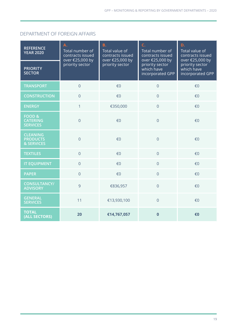#### DEPARTMENT OF FOREIGN AFFAIRS

| <b>REFERENCE</b><br><b>YEAR 2020</b>                    | Α.<br>Total number of<br>contracts issued<br>over €25,000 by<br>priority sector | <b>B.</b><br>Total value of<br>contracts issued<br>over €25,000 by<br>priority sector | C.<br>Total number of<br>contracts issued<br>over €25,000 by | D.<br>Total value of<br>contracts issued<br>over €25,000 by<br>priority sector<br>which have<br>incorporated GPP |
|---------------------------------------------------------|---------------------------------------------------------------------------------|---------------------------------------------------------------------------------------|--------------------------------------------------------------|------------------------------------------------------------------------------------------------------------------|
| <b>PRIORITY</b><br><b>SECTOR</b>                        |                                                                                 |                                                                                       | priority sector<br>which have<br>incorporated GPP            |                                                                                                                  |
| <b>TRANSPORT</b>                                        | $\overline{0}$                                                                  | €0                                                                                    | $\overline{0}$                                               | €0                                                                                                               |
| <b>CONSTRUCTION</b>                                     | $\overline{0}$                                                                  | €0                                                                                    | $\overline{0}$                                               | €0                                                                                                               |
| <b>ENERGY</b>                                           | $\mathbf{1}$                                                                    | €350,000                                                                              | $\overline{0}$                                               | €0                                                                                                               |
| <b>FOOD &amp;</b><br><b>CATERING</b><br><b>SERVICES</b> | $\overline{0}$                                                                  | €0                                                                                    | $\overline{0}$                                               | €0                                                                                                               |
| <b>CLEANING</b><br><b>PRODUCTS</b><br>& SERVICES        | $\overline{0}$                                                                  | €0                                                                                    | $\overline{0}$                                               | €0                                                                                                               |
| <b>TEXTILES</b>                                         | $\overline{0}$                                                                  | €0                                                                                    | $\overline{0}$                                               | €0                                                                                                               |
| <b>IT EQUIPMENT</b>                                     | $\overline{0}$                                                                  | €0                                                                                    | $\overline{0}$                                               | €0                                                                                                               |
| <b>PAPER</b>                                            | $\overline{0}$                                                                  | €0                                                                                    | $\overline{0}$                                               | €0                                                                                                               |
| <b>CONSULTANCY/</b><br><b>ADVISORY</b>                  | 9                                                                               | €836,957                                                                              | $\overline{0}$                                               | €0                                                                                                               |
| <b>GENERAL</b><br><b>SERVICES</b>                       | 11                                                                              | €13,930,100                                                                           | $\overline{0}$                                               | €0                                                                                                               |
| <b>TOTAL</b><br>(ALL SECTORS)                           | 20                                                                              | €14,767,057                                                                           | $\bf{0}$                                                     | €0                                                                                                               |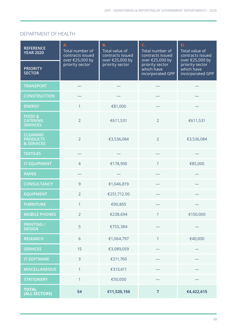#### DEPARTMENT OF HEALTH

| <b>REFERENCE</b><br><b>YEAR 2020</b>                    | Α.<br>Total number of<br>contracts issued<br>over €25,000 by<br>priority sector | <b>B.</b><br>Total value of<br>contracts issued<br>over €25,000 by<br>priority sector | C.<br>Total number of<br>contracts issued<br>over €25,000 by<br>priority sector<br>which have<br>incorporated GPP | D.<br>Total value of<br>contracts issued<br>over €25,000 by |
|---------------------------------------------------------|---------------------------------------------------------------------------------|---------------------------------------------------------------------------------------|-------------------------------------------------------------------------------------------------------------------|-------------------------------------------------------------|
| <b>PRIORITY</b><br><b>SECTOR</b>                        |                                                                                 |                                                                                       |                                                                                                                   | priority sector<br>which have<br>incorporated GPP           |
| <b>TRANSPORT</b>                                        |                                                                                 |                                                                                       |                                                                                                                   |                                                             |
| <b>CONSTRUCTION</b>                                     |                                                                                 |                                                                                       |                                                                                                                   |                                                             |
| <b>ENERGY</b>                                           | 1                                                                               | €81,000                                                                               |                                                                                                                   |                                                             |
| <b>FOOD &amp;</b><br><b>CATERING</b><br><b>SERVICES</b> | $\overline{2}$                                                                  | €611,531                                                                              | $\overline{2}$                                                                                                    | €611,531                                                    |
| <b>CLEANING</b><br><b>PRODUCTS</b><br>& SERVICES        | $\overline{2}$                                                                  | €3,536,084                                                                            | $\overline{2}$                                                                                                    | €3,536,084                                                  |
| <b>TEXTILES</b>                                         |                                                                                 |                                                                                       |                                                                                                                   |                                                             |
| <b>IT EQUIPMENT</b>                                     | $\overline{4}$                                                                  | €178,900                                                                              | 1                                                                                                                 | €85,000                                                     |
| <b>PAPER</b>                                            |                                                                                 |                                                                                       |                                                                                                                   |                                                             |
| <b>CONSULTANCY</b>                                      | $\overline{9}$                                                                  | €1,046,819                                                                            |                                                                                                                   |                                                             |
| <b>EQUIPMENT</b>                                        | $\overline{2}$                                                                  | €251,712.00                                                                           |                                                                                                                   |                                                             |
| <b>FURNITURE</b>                                        | 1                                                                               | €90,805                                                                               |                                                                                                                   |                                                             |
| <b>MOBILE PHONES</b>                                    | $\overline{2}$                                                                  | €238,694                                                                              | 1                                                                                                                 | €150,000                                                    |
| <b>PRINTING /</b><br><b>DESIGN</b>                      | 5                                                                               | €755,384                                                                              |                                                                                                                   |                                                             |
| <b>RESEARCH</b>                                         | 6                                                                               | €1,064,797                                                                            | $\mathbf{1}$                                                                                                      | €40,000                                                     |
| <b>SERVICES</b>                                         | 15                                                                              | €3,089,059                                                                            |                                                                                                                   |                                                             |
| <b>IT SOFTWARE</b>                                      | $\overline{3}$                                                                  | €211,760                                                                              |                                                                                                                   |                                                             |
| <b>MISCELLANEOUS</b>                                    | $\mathbf{1}$                                                                    | €313,611                                                                              |                                                                                                                   |                                                             |
| <b>STATIONERY</b>                                       | $\mathbf{1}$                                                                    | €50,000                                                                               |                                                                                                                   |                                                             |
| <b>TOTAL</b><br>(ALL SECTORS)                           | 54                                                                              | €11,520,156                                                                           | $\overline{7}$                                                                                                    | €4,422,615                                                  |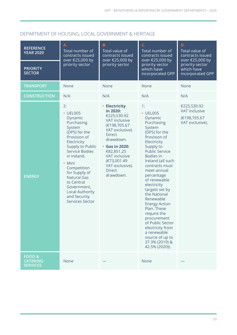#### DEPARTMENT OF HOUSING, LOCAL GOVERNMENT & HERITAGE

| <b>REFERENCE</b><br><b>YEAR 2020</b>                    | Α.<br>Total number of<br>contracts issued<br>over €25,000 by<br>priority sector                                                                                                                                                                                                                                         | C.<br><b>B.</b><br>Total value of<br>Total number of<br>contracts issued<br>contracts issued<br>over €25,000 by<br>over €25,000 by                                                                                                                 | D.<br>Total value of<br>contracts issued<br>over €25,000 by                                                                                                                                                                                                                                                                                                                                                                                                                               |                                                                        |
|---------------------------------------------------------|-------------------------------------------------------------------------------------------------------------------------------------------------------------------------------------------------------------------------------------------------------------------------------------------------------------------------|----------------------------------------------------------------------------------------------------------------------------------------------------------------------------------------------------------------------------------------------------|-------------------------------------------------------------------------------------------------------------------------------------------------------------------------------------------------------------------------------------------------------------------------------------------------------------------------------------------------------------------------------------------------------------------------------------------------------------------------------------------|------------------------------------------------------------------------|
| <b>PRIORITY</b><br><b>SECTOR</b>                        |                                                                                                                                                                                                                                                                                                                         | priority sector                                                                                                                                                                                                                                    | priority sector<br>which have<br>incorporated GPP                                                                                                                                                                                                                                                                                                                                                                                                                                         | priority sector<br>which have<br>incorporated GPP                      |
| <b>TRANSPORT</b>                                        | None                                                                                                                                                                                                                                                                                                                    | None                                                                                                                                                                                                                                               | <b>None</b>                                                                                                                                                                                                                                                                                                                                                                                                                                                                               | <b>None</b>                                                            |
| <b>CONSTRUCTION</b>                                     | N/A                                                                                                                                                                                                                                                                                                                     | N/A                                                                                                                                                                                                                                                | N/A                                                                                                                                                                                                                                                                                                                                                                                                                                                                                       | N/A                                                                    |
| <b>ENERGY</b>                                           | 2:<br>• UEL005<br>Dynamic<br>Purchasing<br>System<br>(DPS) for the<br>Provision of<br>Electricity<br>Supply to Public<br>Service Bodies<br>in Ireland.<br>• Mini<br>Competition<br>for Supply of<br><b>Natural Gas</b><br>to Central<br>Government,<br><b>Local Authority</b><br>and Security<br><b>Services Sector</b> | • Electricity<br>in 2020:<br>€225,530.92<br>VAT inclusive<br>(€198,705.67<br>VAT exclusive).<br><b>Direct</b><br>drawdown.<br>• Gas in 2020:<br>€82,851.25<br><b>VAT inclusive</b><br>(€73,001.49<br>VAT exclusive).<br><b>Direct</b><br>drawdown. | 1:<br>• UEL005<br>Dynamic<br>Purchasing<br>System<br>(DPS) for the<br>Provision of<br>Electricity<br>Supply to<br><b>Public Service</b><br>Bodies in<br>Ireland (all such<br>contracts must<br>meet annual<br>percentage<br>of renewable<br>electricity<br>targets set by<br>the National<br>Renewable<br><b>Energy Action</b><br>Plan. These<br>require the<br>procurement<br>of Public Sector<br>electricity from<br>a renewable<br>source of up to<br>37.3% (2019) &<br>42.5% (2020)). | €225,530.92<br><b>VAT inclusive</b><br>(€198,705.67<br>VAT exclusive). |
| <b>FOOD &amp;</b><br><b>CATERING</b><br><b>SERVICES</b> | None                                                                                                                                                                                                                                                                                                                    |                                                                                                                                                                                                                                                    | None                                                                                                                                                                                                                                                                                                                                                                                                                                                                                      |                                                                        |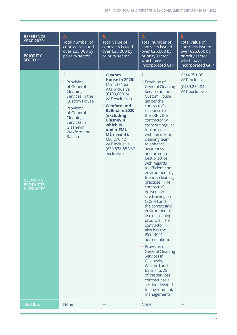| <b>REFERENCE</b><br><b>YEAR 2020</b>             | A.<br>Total number of<br>contracts issued<br>over €25,000 by<br>priority sector                                                                                                              | <b>B.</b><br>C.<br>Total number of<br>Total value of                                                                                                                                                                                                                                                    |                                                                                                                                                                                                                                                                                                                                                                                                                                                                                                                                                                                                                                                                                                                                                                                                                                        | D.<br>Total value of                                                                     |
|--------------------------------------------------|----------------------------------------------------------------------------------------------------------------------------------------------------------------------------------------------|---------------------------------------------------------------------------------------------------------------------------------------------------------------------------------------------------------------------------------------------------------------------------------------------------------|----------------------------------------------------------------------------------------------------------------------------------------------------------------------------------------------------------------------------------------------------------------------------------------------------------------------------------------------------------------------------------------------------------------------------------------------------------------------------------------------------------------------------------------------------------------------------------------------------------------------------------------------------------------------------------------------------------------------------------------------------------------------------------------------------------------------------------------|------------------------------------------------------------------------------------------|
| <b>PRIORITY</b><br><b>SECTOR</b>                 |                                                                                                                                                                                              | contracts issued<br>over €25,000 by<br>priority sector                                                                                                                                                                                                                                                  | contracts issued<br>over €25,000 by<br>priority sector<br>which have<br>incorporated GPP                                                                                                                                                                                                                                                                                                                                                                                                                                                                                                                                                                                                                                                                                                                                               | contracts issued<br>over €25,000 by<br>priority sector<br>which have<br>incorporated GPP |
| <b>CLEANING</b><br><b>PRODUCTS</b><br>& SERVICES | 2:<br>• Provision<br>of General<br>Cleaning<br>Services in the<br><b>Custom House</b><br>• Provision<br>of General<br>Cleaning<br>Services in<br>Glasnevin,<br>Wexford and<br><b>Ballina</b> | • Custom<br><b>House in 2020:</b><br>€124,474.63<br><b>VAT inclusive</b><br>(€109,669.24<br>VAT exclusive)<br>• Wexford and<br><b>Ballina in 2020</b><br>(excluding<br><b>Glasnevin</b><br>which is<br>under FMU<br>MÉ's remit):<br>€90,276.42<br><b>VAT inclusive</b><br>(€79,538.65 VAT<br>exclusive) | 2:<br>• Provision of<br><b>General Cleaning</b><br>Services in the<br><b>Custom House</b><br>(as per the<br>contractor's<br>response to<br>the SRFT, the<br>contractor 'will<br>carry out regular<br>tool box talks<br>with the onsite<br>cleaning team<br>to enhance<br>awareness<br>and promote<br>best practice<br>with regards<br>to efficient and<br>environmentally<br>friendly cleaning<br>practices. [The<br>contractor]<br>delivers on-<br>site training on<br>COSHH and<br>the correct and<br>environmental<br>use of cleaning<br>products.' The<br>contractor<br>also has the<br><b>ISO 14001</b><br>accreditation).<br>• Provision of<br><b>General Cleaning</b><br>Services in<br>Glasnevin,<br>Wexford and<br>Ballina (p. 25<br>of the services<br>contract has a<br>section devoted<br>to environmental<br>management). | €214,751.05<br>VAT inclusive<br>(€189,252.84<br>VAT exclusive)                           |
| <b>TEXTILES</b>                                  | None                                                                                                                                                                                         |                                                                                                                                                                                                                                                                                                         | None                                                                                                                                                                                                                                                                                                                                                                                                                                                                                                                                                                                                                                                                                                                                                                                                                                   |                                                                                          |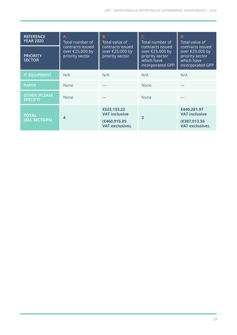| <b>REFERENCE</b><br><b>YEAR 2020</b>    | А.<br>Total number of<br>contracts issued<br>over €25,000 by | В.<br>Total value of<br>contracts issued<br>over €25,000 by                   | C.<br>Total number of<br>contracts issued<br>over €25,000 by | D.<br>Total value of<br>contracts issued<br>over €25,000 by            |
|-----------------------------------------|--------------------------------------------------------------|-------------------------------------------------------------------------------|--------------------------------------------------------------|------------------------------------------------------------------------|
| <b>PRIORITY</b><br><b>SECTOR</b>        | priority sector                                              | priority sector                                                               | priority sector<br>which have<br>incorporated GPP            | priority sector<br>which have<br>incorporated GPP                      |
| <b>IT EQUIPMENT</b>                     | N/A                                                          | N/A                                                                           | N/A                                                          | N/A                                                                    |
| <b>PAPER</b>                            | <b>None</b>                                                  |                                                                               | None                                                         |                                                                        |
| <b>OTHER (PLEASE</b><br><b>SPECIFY)</b> | <b>None</b>                                                  |                                                                               | <b>None</b>                                                  |                                                                        |
| <b>TOTAL</b><br>(ALL SECTORS)           | $\boldsymbol{4}$                                             | €523,133.22<br><b>VAT inclusive</b><br>(€460,915.05<br><b>VAT exclusive).</b> | $\overline{\mathbf{3}}$                                      | €440,281.97<br><b>VAT inclusive</b><br>(€387,913.56<br>VAT exclusive). |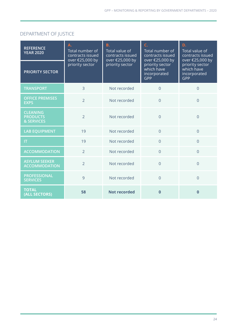#### DEPARTMENT OF JUSTICE

| <b>REFERENCE</b><br><b>YEAR 2020</b>             | A.<br>Total number of<br>contracts issued<br>over €25,000 by<br>priority sector | <b>B.</b><br>Total value of<br>contracts issued<br>over €25,000 by | C.<br>Total number of<br>contracts issued<br>over €25,000 by | D.<br>Total value of<br>contracts issued<br>over €25,000 by |
|--------------------------------------------------|---------------------------------------------------------------------------------|--------------------------------------------------------------------|--------------------------------------------------------------|-------------------------------------------------------------|
| <b>PRIORITY SECTOR</b>                           |                                                                                 | priority sector                                                    | priority sector<br>which have<br>incorporated<br>GPP         | priority sector<br>which have<br>incorporated<br><b>GPP</b> |
| <b>TRANSPORT</b>                                 | 3                                                                               | Not recorded                                                       | $\overline{0}$                                               | $\Omega$                                                    |
| <b>OFFICE PREMISES</b><br><b>EXPS</b>            | $\overline{2}$                                                                  | Not recorded                                                       | $\Omega$                                                     | $\overline{0}$                                              |
| <b>CLEANING</b><br><b>PRODUCTS</b><br>& SERVICES | $\overline{2}$                                                                  | Not recorded                                                       | $\Omega$                                                     | $\overline{0}$                                              |
| <b>LAB EQUIPMENT</b>                             | 19                                                                              | Not recorded                                                       | $\overline{0}$                                               | $\Omega$                                                    |
| IT                                               | 19                                                                              | Not recorded                                                       | $\overline{0}$                                               | $\overline{0}$                                              |
| <b>ACCOMMODATION</b>                             | $\overline{2}$                                                                  | Not recorded                                                       | $\Omega$                                                     | $\overline{0}$                                              |
| <b>ASYLUM SEEKER</b><br><b>ACCOMMODATION</b>     | $\overline{2}$                                                                  | Not recorded                                                       | $\Omega$                                                     | $\overline{0}$                                              |
| <b>PROFESSIONAL</b><br><b>SERVICES</b>           | 9                                                                               | Not recorded                                                       | $\overline{0}$                                               | $\overline{0}$                                              |
| <b>TOTAL</b><br>(ALL SECTORS)                    | 58                                                                              | <b>Not recorded</b>                                                | $\Omega$                                                     | $\bf{0}$                                                    |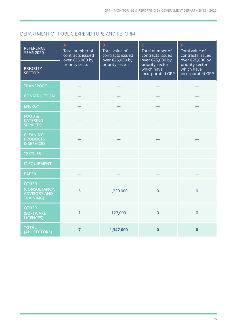#### DEPARTMENT OF PUBLIC EXPENDITURE AND REFORM

| <b>REFERENCE</b><br><b>YEAR 2020</b>                                     | A.<br>Total number of<br>contracts issued<br>over €25,000 by<br>priority sector | C.<br><b>B.</b><br>Total value of<br>contracts issued<br>over €25,000 by<br>priority sector | Total number of<br>contracts issued<br>over €25,000 by | D.<br>Total value of<br>contracts issued<br>over €25,000 by |
|--------------------------------------------------------------------------|---------------------------------------------------------------------------------|---------------------------------------------------------------------------------------------|--------------------------------------------------------|-------------------------------------------------------------|
| <b>PRIORITY</b><br><b>SECTOR</b>                                         |                                                                                 |                                                                                             | priority sector<br>which have<br>incorporated GPP      | priority sector<br>which have<br>incorporated GPP           |
| <b>TRANSPORT</b>                                                         |                                                                                 |                                                                                             |                                                        |                                                             |
| <b>CONSTRUCTION</b>                                                      |                                                                                 |                                                                                             |                                                        |                                                             |
| <b>ENERGY</b>                                                            |                                                                                 |                                                                                             |                                                        |                                                             |
| <b>FOOD &amp;</b><br><b>CATERING</b><br><b>SERVICES</b>                  |                                                                                 |                                                                                             |                                                        |                                                             |
| <b>CLEANING</b><br><b>PRODUCTS</b><br>& SERVICES                         |                                                                                 |                                                                                             |                                                        |                                                             |
| <b>TEXTILES</b>                                                          |                                                                                 |                                                                                             |                                                        |                                                             |
| <b>IT EQUIPMENT</b>                                                      |                                                                                 |                                                                                             |                                                        |                                                             |
| <b>PAPER</b>                                                             |                                                                                 |                                                                                             |                                                        |                                                             |
| <b>OTHER</b><br>(CONSULTANCY,<br><b>ADVISORY AND</b><br><b>TRAINING)</b> | 6                                                                               | 1,220,000                                                                                   | $\overline{0}$                                         | $\overline{0}$                                              |
| <b>OTHER</b><br><b>(SOFTWARE</b><br><b>LICENCES</b> )                    | $\mathbf{1}$                                                                    | 127,000                                                                                     | $\overline{0}$                                         | $\overline{0}$                                              |
| <b>TOTAL</b><br>(ALL SECTORS)                                            | $\overline{7}$                                                                  | 1,347,000                                                                                   | $\bf{0}$                                               | $\bf{0}$                                                    |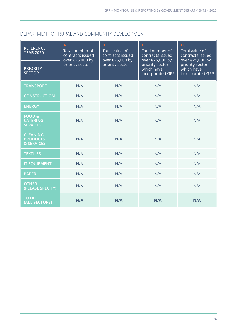#### DEPARTMENT OF RURAL AND COMMUNITY DEVELOPMENT

| <b>REFERENCE</b><br><b>YEAR 2020</b>                    | Α.<br>Total number of<br>contracts issued<br>over €25,000 by<br>priority sector | <b>B.</b><br>Total value of<br>contracts issued<br>over €25,000 by<br>priority sector | C.<br>Total number of<br>contracts issued<br>over €25,000 by | D.<br>Total value of<br>contracts issued<br>over €25,000 by<br>priority sector<br>which have<br>incorporated GPP |
|---------------------------------------------------------|---------------------------------------------------------------------------------|---------------------------------------------------------------------------------------|--------------------------------------------------------------|------------------------------------------------------------------------------------------------------------------|
| <b>PRIORITY</b><br><b>SECTOR</b>                        |                                                                                 |                                                                                       | priority sector<br>which have<br>incorporated GPP            |                                                                                                                  |
| <b>TRANSPORT</b>                                        | N/A                                                                             | N/A                                                                                   | N/A                                                          | N/A                                                                                                              |
| <b>CONSTRUCTION</b>                                     | N/A                                                                             | N/A                                                                                   | N/A                                                          | N/A                                                                                                              |
| <b>ENERGY</b>                                           | N/A                                                                             | N/A                                                                                   | N/A                                                          | N/A                                                                                                              |
| <b>FOOD &amp;</b><br><b>CATERING</b><br><b>SERVICES</b> | N/A                                                                             | N/A                                                                                   | N/A                                                          | N/A                                                                                                              |
| <b>CLEANING</b><br><b>PRODUCTS</b><br>& SERVICES        | N/A                                                                             | N/A                                                                                   | N/A                                                          | N/A                                                                                                              |
| <b>TEXTILES</b>                                         | N/A                                                                             | N/A                                                                                   | N/A                                                          | N/A                                                                                                              |
| <b>IT EQUIPMENT</b>                                     | N/A                                                                             | N/A                                                                                   | N/A                                                          | N/A                                                                                                              |
| <b>PAPER</b>                                            | N/A                                                                             | N/A                                                                                   | N/A                                                          | N/A                                                                                                              |
| <b>OTHER</b><br>(PLEASE SPECIFY)                        | N/A                                                                             | N/A                                                                                   | N/A                                                          | N/A                                                                                                              |
| <b>TOTAL</b><br>(ALL SECTORS)                           | N/A                                                                             | N/A                                                                                   | N/A                                                          | N/A                                                                                                              |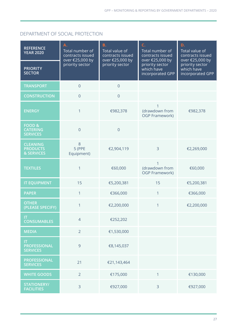#### DEPARTMENT OF SOCIAL PROTECTION

| <b>REFERENCE</b><br><b>YEAR 2020</b>                    | Α.<br>Total number of<br>contracts issued<br>over €25,000 by<br>priority sector | <b>B.</b><br>Total value of<br>contracts issued<br>over €25,000 by | C.<br>Total number of<br>contracts issued<br>over €25,000 by | D.<br>Total value of<br>contracts issued<br>over €25,000 by |
|---------------------------------------------------------|---------------------------------------------------------------------------------|--------------------------------------------------------------------|--------------------------------------------------------------|-------------------------------------------------------------|
| <b>PRIORITY</b><br><b>SECTOR</b>                        |                                                                                 | priority sector                                                    | priority sector<br>which have<br>incorporated GPP            | priority sector<br>which have<br>incorporated GPP           |
| <b>TRANSPORT</b>                                        | $\overline{0}$                                                                  | $\overline{0}$                                                     |                                                              |                                                             |
| <b>CONSTRUCTION</b>                                     | $\overline{0}$                                                                  | $\mathsf{O}\xspace$                                                |                                                              |                                                             |
| <b>ENERGY</b>                                           | 1                                                                               | €982,378                                                           | (drawdown from<br><b>OGP Framework)</b>                      | €982,378                                                    |
| <b>FOOD &amp;</b><br><b>CATERING</b><br><b>SERVICES</b> | $\overline{0}$                                                                  | $\overline{0}$                                                     |                                                              |                                                             |
| <b>CLEANING</b><br><b>PRODUCTS</b><br>& SERVICES        | $8\,$<br>5 (PPE<br>Equipment)                                                   | €2,904,119                                                         | $\overline{3}$                                               | €2,269,000                                                  |
| <b>TEXTILES</b>                                         | 1                                                                               | €60,000                                                            | (drawdown from<br>OGP Framework)                             | €60,000                                                     |
| <b>IT EQUIPMENT</b>                                     | 15                                                                              | €5,200,381                                                         | 15                                                           | €5,200,381                                                  |
| <b>PAPER</b>                                            | $\mathbf{1}$                                                                    | €366,000                                                           | $\mathbf{1}$                                                 | €366,000                                                    |
| <b>OTHER</b><br>(PLEASE SPECIFY)                        | $\mathbf{1}$                                                                    | €2,200,000                                                         | $\mathbf{1}$                                                 | €2,200,000                                                  |
| IT<br><b>CONSUMABLES</b>                                | $\overline{4}$                                                                  | €252,202                                                           |                                                              |                                                             |
| <b>MEDIA</b>                                            | $\overline{2}$                                                                  | €1,530,000                                                         |                                                              |                                                             |
| IT<br><b>PROFESSIONAL</b><br><b>SERVICES</b>            | 9                                                                               | €8,145,037                                                         |                                                              |                                                             |
| <b>PROFESSIONAL</b><br><b>SERVICES</b>                  | 21                                                                              | €21,143,464                                                        |                                                              |                                                             |
| <b>WHITE GOODS</b>                                      | $\overline{2}$                                                                  | €175,000                                                           | $\mathbf{1}$                                                 | €130,000                                                    |
| <b>STATIONERY/</b><br><b>FACILITIES</b>                 | $\overline{3}$                                                                  | €927,000                                                           | $\overline{3}$                                               | €927,000                                                    |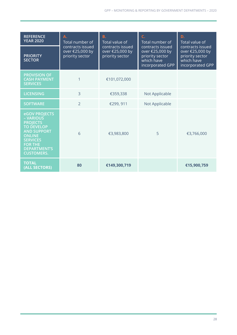| <b>REFERENCE</b><br><b>YEAR 2020</b>                                                                                                                                                       | Α.<br>Total number of<br>contracts issued<br>over €25,000 by<br>priority sector | C.<br><b>B.</b><br>Total value of<br>contracts issued<br>contracts issued<br>over €25,000 by<br>priority sector | Total number of                                                      | D.<br>Total value of<br>contracts issued<br>over €25,000 by<br>priority sector<br>which have<br>incorporated GPP |
|--------------------------------------------------------------------------------------------------------------------------------------------------------------------------------------------|---------------------------------------------------------------------------------|-----------------------------------------------------------------------------------------------------------------|----------------------------------------------------------------------|------------------------------------------------------------------------------------------------------------------|
| <b>PRIORITY</b><br><b>SECTOR</b>                                                                                                                                                           |                                                                                 |                                                                                                                 | over €25,000 by<br>priority sector<br>which have<br>incorporated GPP |                                                                                                                  |
| <b>PROVISION OF</b><br><b>CASH PAYMENT</b><br><b>SERVICES</b>                                                                                                                              | 1                                                                               | €101,072,000                                                                                                    |                                                                      |                                                                                                                  |
| <b>LICENSING</b>                                                                                                                                                                           | $\overline{3}$                                                                  | €359,338                                                                                                        | Not Applicable                                                       |                                                                                                                  |
| <b>SOFTWARE</b>                                                                                                                                                                            | $\overline{2}$                                                                  | €299, 911                                                                                                       | Not Applicable                                                       |                                                                                                                  |
| eGOV PROJECTS<br>- VARIOUS<br><b>PROJECTS</b><br><b>TO DEVELOP</b><br><b>AND SUPPORT</b><br><b>ONLINE</b><br><b>SERVICES</b><br><b>FOR THE</b><br><b>DEPARTMENT'S</b><br><b>CUSTOMERS.</b> | 6                                                                               | €3,983,800                                                                                                      | 5                                                                    | €3,766,000                                                                                                       |
| <b>TOTAL</b><br>(ALL SECTORS)                                                                                                                                                              | 80                                                                              | €149,300,719                                                                                                    |                                                                      | €15,900,759                                                                                                      |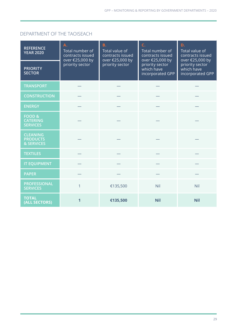#### DEPARTMENT OF THE TAOISEACH

| <b>REFERENCE</b><br><b>YEAR 2020</b>                    | Α.<br>Total number of<br>contracts issued<br>over €25,000 by | <b>B.</b><br>Total value of<br>contracts issued<br>over €25,000 by | C.<br>Total number of<br>contracts issued<br>over €25,000 by | D.<br>Total value of<br>contracts issued<br>over €25,000 by |  |
|---------------------------------------------------------|--------------------------------------------------------------|--------------------------------------------------------------------|--------------------------------------------------------------|-------------------------------------------------------------|--|
| <b>PRIORITY</b><br><b>SECTOR</b>                        | priority sector                                              | priority sector                                                    | priority sector<br>which have<br>incorporated GPP            | priority sector<br>which have<br>incorporated GPP           |  |
| <b>TRANSPORT</b>                                        |                                                              |                                                                    |                                                              |                                                             |  |
| <b>CONSTRUCTION</b>                                     |                                                              |                                                                    |                                                              |                                                             |  |
| <b>ENERGY</b>                                           |                                                              |                                                                    |                                                              |                                                             |  |
| <b>FOOD &amp;</b><br><b>CATERING</b><br><b>SERVICES</b> |                                                              |                                                                    |                                                              |                                                             |  |
| <b>CLEANING</b><br><b>PRODUCTS</b><br>& SERVICES        |                                                              |                                                                    |                                                              |                                                             |  |
| <b>TEXTILES</b>                                         |                                                              |                                                                    |                                                              |                                                             |  |
| <b>IT EQUIPMENT</b>                                     |                                                              |                                                                    |                                                              |                                                             |  |
| <b>PAPER</b>                                            |                                                              |                                                                    |                                                              |                                                             |  |
| <b>PROFESSIONAL</b><br><b>SERVICES</b>                  | 1                                                            | €135,500                                                           | Nil                                                          | Nil                                                         |  |
| <b>TOTAL</b><br>(ALL SECTORS)                           | 1                                                            | €135,500                                                           | <b>Nil</b>                                                   | <b>Nil</b>                                                  |  |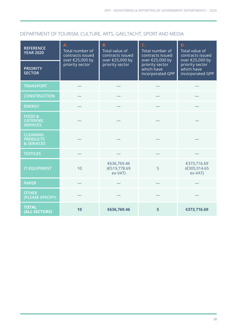#### DEPARTMENT OF TOURISM, CULTURE, ARTS, GAELTACHT, SPORT AND MEDIA

| <b>REFERENCE</b><br><b>YEAR 2020</b>                    | A.<br>Total number of<br>contracts issued<br>over €25,000 by | <b>B.</b><br>Total value of<br>contracts issued<br>over €25,000 by | C.<br>Total number of<br>contracts issued<br>over €25,000 by | D.<br>Total value of<br>contracts issued<br>over €25,000 by<br>priority sector<br>which have<br>incorporated GPP |
|---------------------------------------------------------|--------------------------------------------------------------|--------------------------------------------------------------------|--------------------------------------------------------------|------------------------------------------------------------------------------------------------------------------|
| <b>PRIORITY</b><br><b>SECTOR</b>                        | priority sector                                              | priority sector                                                    | priority sector<br>which have<br>incorporated GPP            |                                                                                                                  |
| <b>TRANSPORT</b>                                        |                                                              |                                                                    |                                                              |                                                                                                                  |
| <b>CONSTRUCTION</b>                                     |                                                              |                                                                    |                                                              |                                                                                                                  |
| <b>ENERGY</b>                                           |                                                              |                                                                    |                                                              |                                                                                                                  |
| <b>FOOD &amp;</b><br><b>CATERING</b><br><b>SERVICES</b> |                                                              |                                                                    |                                                              |                                                                                                                  |
| <b>CLEANING</b><br><b>PRODUCTS</b><br>& SERVICES        |                                                              |                                                                    |                                                              |                                                                                                                  |
| <b>TEXTILES</b>                                         |                                                              |                                                                    |                                                              |                                                                                                                  |
| <b>IT EQUIPMENT</b>                                     | 10                                                           | €636,769.46<br>(€519,778.69<br>ex-VAT)                             | 5                                                            | €373,716.69<br>(€305,914.65<br>ex-VAT)                                                                           |
| <b>PAPER</b>                                            |                                                              |                                                                    |                                                              |                                                                                                                  |
| <b>OTHER</b><br>(PLEASE SPECIFY)                        |                                                              |                                                                    |                                                              |                                                                                                                  |
| <b>TOTAL</b><br>(ALL SECTORS)                           | 10                                                           | €636,769.46                                                        | 5                                                            | €373,716.69                                                                                                      |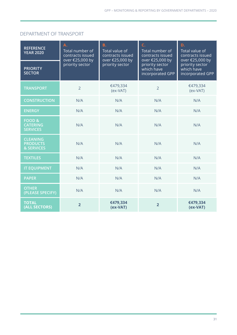#### DEPARTMENT OF TRANSPORT

| <b>REFERENCE</b><br><b>YEAR 2020</b>                    | A.<br>Total number of<br>contracts issued<br>over €25,000 by | <b>B.</b><br>Total value of<br>contracts issued<br>over €25,000 by | C.<br>Total number of<br>contracts issued<br>over €25,000 by | D.<br>Total value of<br>contracts issued<br>over €25,000 by<br>priority sector<br>which have<br>incorporated GPP |
|---------------------------------------------------------|--------------------------------------------------------------|--------------------------------------------------------------------|--------------------------------------------------------------|------------------------------------------------------------------------------------------------------------------|
| <b>PRIORITY</b><br><b>SECTOR</b>                        | priority sector                                              | priority sector                                                    | priority sector<br>which have<br>incorporated GPP            |                                                                                                                  |
| <b>TRANSPORT</b>                                        | $\overline{2}$                                               | €479,334<br>$(ex-VAT)$                                             | $\overline{2}$                                               | €479,334<br>$(ex-VAT)$                                                                                           |
| <b>CONSTRUCTION</b>                                     | N/A                                                          | N/A                                                                | N/A                                                          | N/A                                                                                                              |
| <b>ENERGY</b>                                           | N/A                                                          | N/A                                                                | N/A                                                          | N/A                                                                                                              |
| <b>FOOD &amp;</b><br><b>CATERING</b><br><b>SERVICES</b> | N/A                                                          | N/A                                                                | N/A                                                          | N/A                                                                                                              |
| <b>CLEANING</b><br><b>PRODUCTS</b><br>& SERVICES        | N/A                                                          | N/A                                                                | N/A                                                          | N/A                                                                                                              |
| <b>TEXTILES</b>                                         | N/A                                                          | N/A                                                                | N/A                                                          | N/A                                                                                                              |
| <b>IT EQUIPMENT</b>                                     | N/A                                                          | N/A                                                                | N/A                                                          | N/A                                                                                                              |
| <b>PAPER</b>                                            | N/A                                                          | N/A                                                                | N/A                                                          | N/A                                                                                                              |
| <b>OTHER</b><br>(PLEASE SPECIFY)                        | N/A                                                          | N/A                                                                | N/A                                                          | N/A                                                                                                              |
| <b>TOTAL</b><br>(ALL SECTORS)                           | $\overline{2}$                                               | €479,334<br>(ex-VAT)                                               | $\overline{2}$                                               | €479,334<br>(ex-VAT)                                                                                             |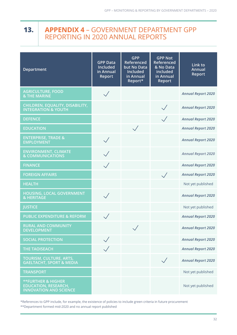#### <span id="page-34-0"></span>**APPENDIX 4** – GOVERNMENT DEPARTMENT GPP REPORTING IN 2020 ANNUAL REPORTS **13.**

| Department                                                                                    | <b>GPP Data</b><br>Included<br>in Annual<br><b>Report</b> | <b>GPP</b><br>Referenced<br>but No Data<br><b>Included</b><br>in Annual<br>Report* | <b>GPP Not</b><br>Referenced<br>& No Data<br>included<br>in Annual<br>Report | Link to<br><b>Annual</b><br>Report |
|-----------------------------------------------------------------------------------------------|-----------------------------------------------------------|------------------------------------------------------------------------------------|------------------------------------------------------------------------------|------------------------------------|
| <b>AGRICULTURE, FOOD</b><br><b>&amp; THE MARINE</b>                                           |                                                           |                                                                                    |                                                                              | <b>Annual Report 2020</b>          |
| CHILDREN, EQUALITY, DISABILITY,<br><b>INTEGRATION &amp; YOUTH</b>                             |                                                           |                                                                                    |                                                                              | <b>Annual Report 2020</b>          |
| <b>DEFENCE</b>                                                                                |                                                           |                                                                                    |                                                                              | <b>Annual Report 2020</b>          |
| <b>EDUCATION</b>                                                                              |                                                           |                                                                                    |                                                                              | <b>Annual Report 2020</b>          |
| <b>ENTERPRISE, TRADE &amp;</b><br><b>EMPLOYMENT</b>                                           | $\checkmark$                                              |                                                                                    |                                                                              | <b>Annual Report 2020</b>          |
| <b>ENVIRONMENT, CLIMATE</b><br><b>&amp; COMMUNICATIONS</b>                                    |                                                           |                                                                                    |                                                                              | <b>Annual Report 2020</b>          |
| <b>FINANCE</b>                                                                                | $\sqrt{}$                                                 |                                                                                    |                                                                              | <b>Annual Report 2020</b>          |
| <b>FOREIGN AFFAIRS</b>                                                                        |                                                           |                                                                                    | $\sqrt{}$                                                                    | <b>Annual Report 2020</b>          |
| <b>HEALTH</b>                                                                                 |                                                           |                                                                                    |                                                                              | Not yet published                  |
| HOUSING, LOCAL GOVERNMENT<br>& HERITAGE                                                       |                                                           |                                                                                    |                                                                              | <b>Annual Report 2020</b>          |
| <b>JUSTICE</b>                                                                                |                                                           |                                                                                    |                                                                              | Not yet published                  |
| <b>PUBLIC EXPENDITURE &amp; REFORM</b>                                                        | $\diagdown$                                               |                                                                                    |                                                                              | <b>Annual Report 2020</b>          |
| <b>RURAL AND COMMUNITY</b><br><b>DEVELOPMENT</b>                                              |                                                           | $\sqrt{}$                                                                          |                                                                              | <b>Annual Report 2020</b>          |
| <b>SOCIAL PROTECTION</b>                                                                      | $\checkmark$                                              |                                                                                    |                                                                              | <b>Annual Report 2020</b>          |
| <b>THE TAOISEACH</b>                                                                          | $\checkmark$                                              |                                                                                    |                                                                              | <b>Annual Report 2020</b>          |
| <b>TOURISM, CULTURE, ARTS,</b><br><b>GAELTACHT, SPORT &amp; MEDIA</b>                         |                                                           |                                                                                    |                                                                              | <b>Annual Report 2020</b>          |
| <b>TRANSPORT</b>                                                                              |                                                           |                                                                                    |                                                                              | Not yet published                  |
| <b>**FURTHER &amp; HIGHER</b><br><b>EDUCATION, RESEARCH,</b><br><b>INNOVATION AND SCIENCE</b> |                                                           |                                                                                    |                                                                              | Not yet published                  |

\*References to GPP include, for example, the existence of policies to include green criteria in future procurement

\*\*Department formed mid-2020 and no annual report published